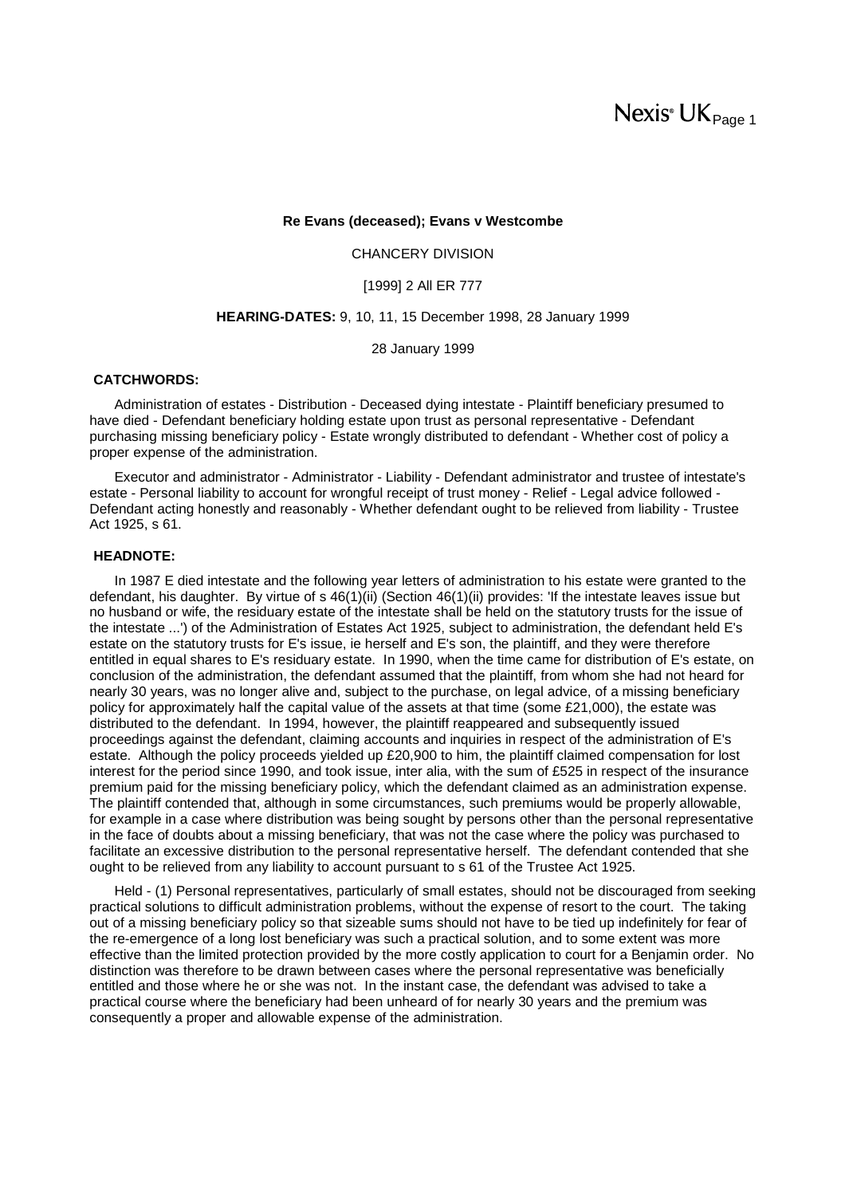# Nexis<sup>®</sup> UK<sub>Page 1</sub>

#### **Re Evans (deceased); Evans v Westcombe**

CHANCERY DIVISION

[1999] 2 All ER 777

#### **HEARING-DATES:** 9, 10, 11, 15 December 1998, 28 January 1999

28 January 1999

# **CATCHWORDS:**

Administration of estates - Distribution - Deceased dying intestate - Plaintiff beneficiary presumed to have died - Defendant beneficiary holding estate upon trust as personal representative - Defendant purchasing missing beneficiary policy - Estate wrongly distributed to defendant - Whether cost of policy a proper expense of the administration.

Executor and administrator - Administrator - Liability - Defendant administrator and trustee of intestate's estate - Personal liability to account for wrongful receipt of trust money - Relief - Legal advice followed - Defendant acting honestly and reasonably - Whether defendant ought to be relieved from liability - Trustee Act 1925, s 61.

# **HEADNOTE:**

In 1987 E died intestate and the following year letters of administration to his estate were granted to the defendant, his daughter. By virtue of s 46(1)(ii) (Section 46(1)(ii) provides: 'If the intestate leaves issue but no husband or wife, the residuary estate of the intestate shall be held on the statutory trusts for the issue of the intestate ...') of the Administration of Estates Act 1925, subject to administration, the defendant held E's estate on the statutory trusts for E's issue, ie herself and E's son, the plaintiff, and they were therefore entitled in equal shares to E's residuary estate. In 1990, when the time came for distribution of E's estate, on conclusion of the administration, the defendant assumed that the plaintiff, from whom she had not heard for nearly 30 years, was no longer alive and, subject to the purchase, on legal advice, of a missing beneficiary policy for approximately half the capital value of the assets at that time (some £21,000), the estate was distributed to the defendant. In 1994, however, the plaintiff reappeared and subsequently issued proceedings against the defendant, claiming accounts and inquiries in respect of the administration of E's estate. Although the policy proceeds yielded up £20,900 to him, the plaintiff claimed compensation for lost interest for the period since 1990, and took issue, inter alia, with the sum of £525 in respect of the insurance premium paid for the missing beneficiary policy, which the defendant claimed as an administration expense. The plaintiff contended that, although in some circumstances, such premiums would be properly allowable, for example in a case where distribution was being sought by persons other than the personal representative in the face of doubts about a missing beneficiary, that was not the case where the policy was purchased to facilitate an excessive distribution to the personal representative herself. The defendant contended that she ought to be relieved from any liability to account pursuant to s 61 of the Trustee Act 1925.

Held - (1) Personal representatives, particularly of small estates, should not be discouraged from seeking practical solutions to difficult administration problems, without the expense of resort to the court. The taking out of a missing beneficiary policy so that sizeable sums should not have to be tied up indefinitely for fear of the re-emergence of a long lost beneficiary was such a practical solution, and to some extent was more effective than the limited protection provided by the more costly application to court for a Benjamin order. No distinction was therefore to be drawn between cases where the personal representative was beneficially entitled and those where he or she was not. In the instant case, the defendant was advised to take a practical course where the beneficiary had been unheard of for nearly 30 years and the premium was consequently a proper and allowable expense of the administration.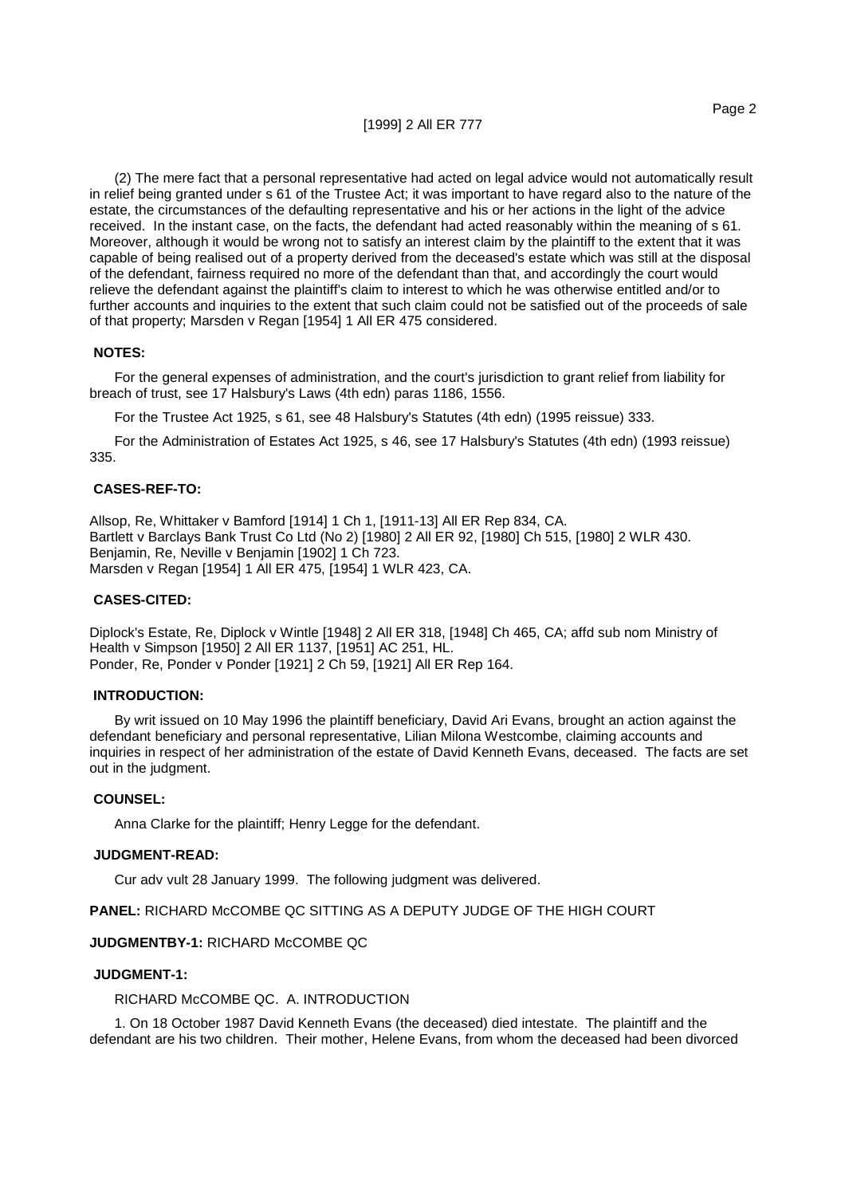(2) The mere fact that a personal representative had acted on legal advice would not automatically result in relief being granted under s 61 of the Trustee Act; it was important to have regard also to the nature of the estate, the circumstances of the defaulting representative and his or her actions in the light of the advice received. In the instant case, on the facts, the defendant had acted reasonably within the meaning of s 61. Moreover, although it would be wrong not to satisfy an interest claim by the plaintiff to the extent that it was capable of being realised out of a property derived from the deceased's estate which was still at the disposal of the defendant, fairness required no more of the defendant than that, and accordingly the court would relieve the defendant against the plaintiff's claim to interest to which he was otherwise entitled and/or to further accounts and inquiries to the extent that such claim could not be satisfied out of the proceeds of sale of that property; Marsden v Regan [1954] 1 All ER 475 considered.

# **NOTES:**

For the general expenses of administration, and the court's jurisdiction to grant relief from liability for breach of trust, see 17 Halsbury's Laws (4th edn) paras 1186, 1556.

For the Trustee Act 1925, s 61, see 48 Halsbury's Statutes (4th edn) (1995 reissue) 333.

For the Administration of Estates Act 1925, s 46, see 17 Halsbury's Statutes (4th edn) (1993 reissue) 335.

# **CASES-REF-TO:**

Allsop, Re, Whittaker v Bamford [1914] 1 Ch 1, [1911-13] All ER Rep 834, CA. Bartlett v Barclays Bank Trust Co Ltd (No 2) [1980] 2 All ER 92, [1980] Ch 515, [1980] 2 WLR 430. Benjamin, Re, Neville v Benjamin [1902] 1 Ch 723. Marsden v Regan [1954] 1 All ER 475, [1954] 1 WLR 423, CA.

# **CASES-CITED:**

Diplock's Estate, Re, Diplock v Wintle [1948] 2 All ER 318, [1948] Ch 465, CA; affd sub nom Ministry of Health v Simpson [1950] 2 All ER 1137, [1951] AC 251, HL. Ponder, Re, Ponder v Ponder [1921] 2 Ch 59, [1921] All ER Rep 164.

# **INTRODUCTION:**

By writ issued on 10 May 1996 the plaintiff beneficiary, David Ari Evans, brought an action against the defendant beneficiary and personal representative, Lilian Milona Westcombe, claiming accounts and inquiries in respect of her administration of the estate of David Kenneth Evans, deceased. The facts are set out in the judgment.

# **COUNSEL:**

Anna Clarke for the plaintiff; Henry Legge for the defendant.

#### **JUDGMENT-READ:**

Cur adv vult 28 January 1999. The following judgment was delivered.

**PANEL:** RICHARD McCOMBE QC SITTING AS A DEPUTY JUDGE OF THE HIGH COURT

# **JUDGMENTBY-1:** RICHARD McCOMBE QC

#### **JUDGMENT-1:**

RICHARD McCOMBE QC. A. INTRODUCTION

1. On 18 October 1987 David Kenneth Evans (the deceased) died intestate. The plaintiff and the defendant are his two children. Their mother, Helene Evans, from whom the deceased had been divorced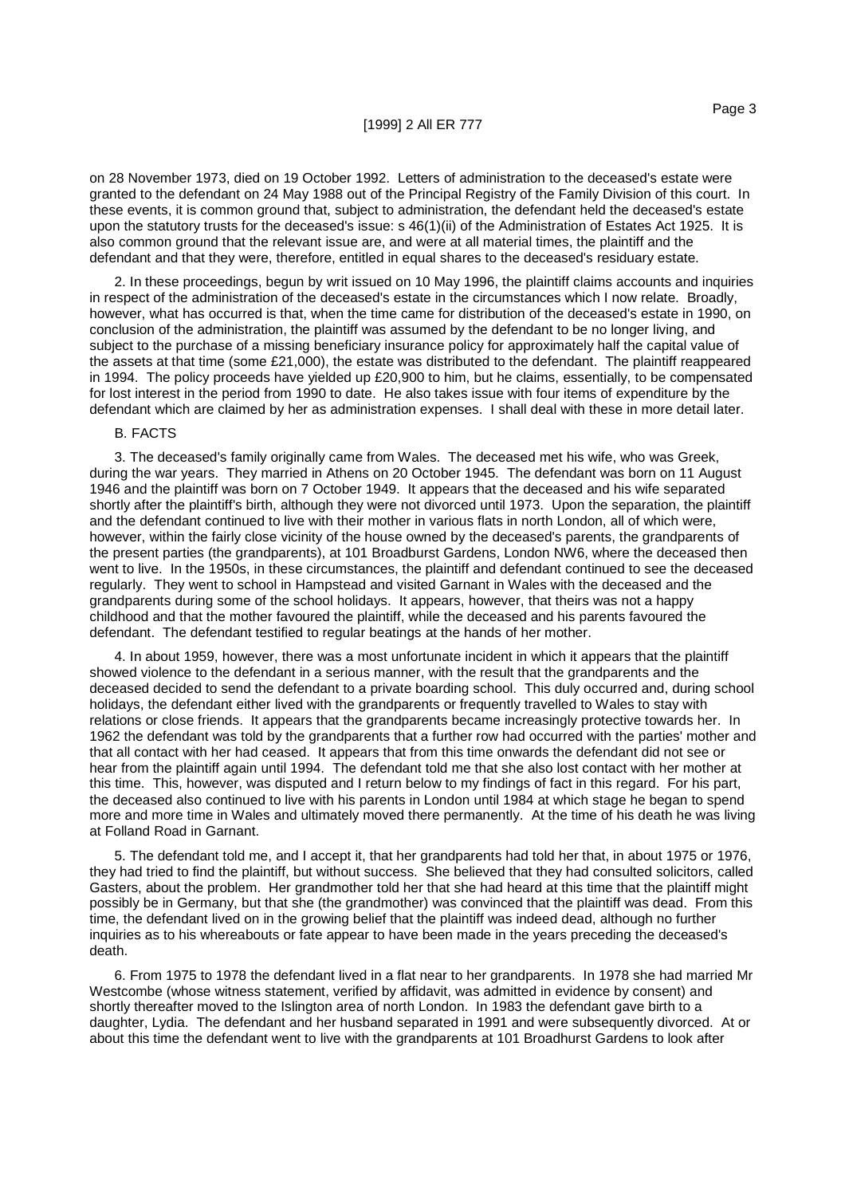on 28 November 1973, died on 19 October 1992. Letters of administration to the deceased's estate were granted to the defendant on 24 May 1988 out of the Principal Registry of the Family Division of this court. In these events, it is common ground that, subject to administration, the defendant held the deceased's estate upon the statutory trusts for the deceased's issue: s 46(1)(ii) of the Administration of Estates Act 1925. It is also common ground that the relevant issue are, and were at all material times, the plaintiff and the defendant and that they were, therefore, entitled in equal shares to the deceased's residuary estate.

2. In these proceedings, begun by writ issued on 10 May 1996, the plaintiff claims accounts and inquiries in respect of the administration of the deceased's estate in the circumstances which I now relate. Broadly, however, what has occurred is that, when the time came for distribution of the deceased's estate in 1990, on conclusion of the administration, the plaintiff was assumed by the defendant to be no longer living, and subject to the purchase of a missing beneficiary insurance policy for approximately half the capital value of the assets at that time (some £21,000), the estate was distributed to the defendant. The plaintiff reappeared in 1994. The policy proceeds have yielded up £20,900 to him, but he claims, essentially, to be compensated for lost interest in the period from 1990 to date. He also takes issue with four items of expenditure by the defendant which are claimed by her as administration expenses. I shall deal with these in more detail later.

#### B. FACTS

3. The deceased's family originally came from Wales. The deceased met his wife, who was Greek, during the war years. They married in Athens on 20 October 1945. The defendant was born on 11 August 1946 and the plaintiff was born on 7 October 1949. It appears that the deceased and his wife separated shortly after the plaintiff's birth, although they were not divorced until 1973. Upon the separation, the plaintiff and the defendant continued to live with their mother in various flats in north London, all of which were, however, within the fairly close vicinity of the house owned by the deceased's parents, the grandparents of the present parties (the grandparents), at 101 Broadburst Gardens, London NW6, where the deceased then went to live. In the 1950s, in these circumstances, the plaintiff and defendant continued to see the deceased regularly. They went to school in Hampstead and visited Garnant in Wales with the deceased and the grandparents during some of the school holidays. It appears, however, that theirs was not a happy childhood and that the mother favoured the plaintiff, while the deceased and his parents favoured the defendant. The defendant testified to regular beatings at the hands of her mother.

4. In about 1959, however, there was a most unfortunate incident in which it appears that the plaintiff showed violence to the defendant in a serious manner, with the result that the grandparents and the deceased decided to send the defendant to a private boarding school. This duly occurred and, during school holidays, the defendant either lived with the grandparents or frequently travelled to Wales to stay with relations or close friends. It appears that the grandparents became increasingly protective towards her. In 1962 the defendant was told by the grandparents that a further row had occurred with the parties' mother and that all contact with her had ceased. It appears that from this time onwards the defendant did not see or hear from the plaintiff again until 1994. The defendant told me that she also lost contact with her mother at this time. This, however, was disputed and I return below to my findings of fact in this regard. For his part, the deceased also continued to live with his parents in London until 1984 at which stage he began to spend more and more time in Wales and ultimately moved there permanently. At the time of his death he was living at Folland Road in Garnant.

5. The defendant told me, and I accept it, that her grandparents had told her that, in about 1975 or 1976, they had tried to find the plaintiff, but without success. She believed that they had consulted solicitors, called Gasters, about the problem. Her grandmother told her that she had heard at this time that the plaintiff might possibly be in Germany, but that she (the grandmother) was convinced that the plaintiff was dead. From this time, the defendant lived on in the growing belief that the plaintiff was indeed dead, although no further inquiries as to his whereabouts or fate appear to have been made in the years preceding the deceased's death.

6. From 1975 to 1978 the defendant lived in a flat near to her grandparents. In 1978 she had married Mr Westcombe (whose witness statement, verified by affidavit, was admitted in evidence by consent) and shortly thereafter moved to the Islington area of north London. In 1983 the defendant gave birth to a daughter, Lydia. The defendant and her husband separated in 1991 and were subsequently divorced. At or about this time the defendant went to live with the grandparents at 101 Broadhurst Gardens to look after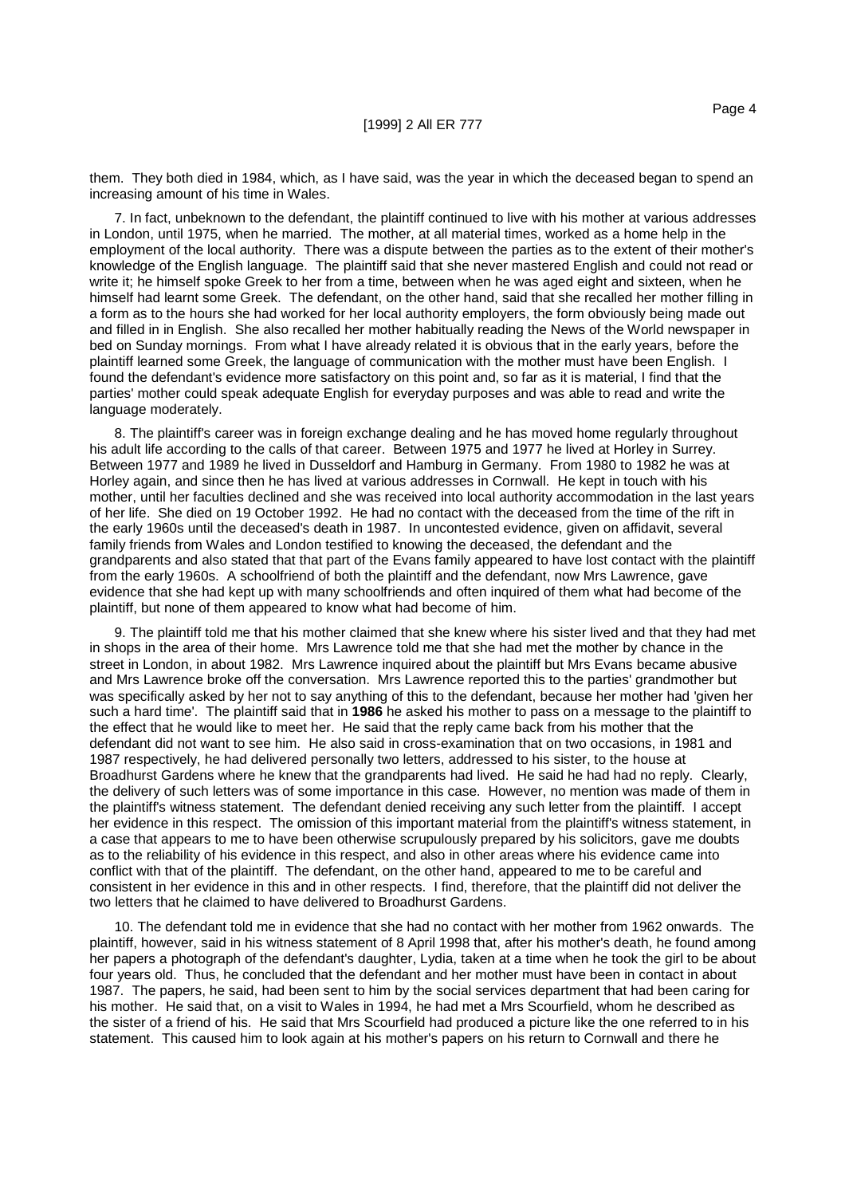them. They both died in 1984, which, as I have said, was the year in which the deceased began to spend an increasing amount of his time in Wales.

7. In fact, unbeknown to the defendant, the plaintiff continued to live with his mother at various addresses in London, until 1975, when he married. The mother, at all material times, worked as a home help in the employment of the local authority. There was a dispute between the parties as to the extent of their mother's knowledge of the English language. The plaintiff said that she never mastered English and could not read or write it; he himself spoke Greek to her from a time, between when he was aged eight and sixteen, when he himself had learnt some Greek. The defendant, on the other hand, said that she recalled her mother filling in a form as to the hours she had worked for her local authority employers, the form obviously being made out and filled in in English. She also recalled her mother habitually reading the News of the World newspaper in bed on Sunday mornings. From what I have already related it is obvious that in the early years, before the plaintiff learned some Greek, the language of communication with the mother must have been English. I found the defendant's evidence more satisfactory on this point and, so far as it is material, I find that the parties' mother could speak adequate English for everyday purposes and was able to read and write the language moderately.

8. The plaintiff's career was in foreign exchange dealing and he has moved home regularly throughout his adult life according to the calls of that career. Between 1975 and 1977 he lived at Horley in Surrey. Between 1977 and 1989 he lived in Dusseldorf and Hamburg in Germany. From 1980 to 1982 he was at Horley again, and since then he has lived at various addresses in Cornwall. He kept in touch with his mother, until her faculties declined and she was received into local authority accommodation in the last years of her life. She died on 19 October 1992. He had no contact with the deceased from the time of the rift in the early 1960s until the deceased's death in 1987. In uncontested evidence, given on affidavit, several family friends from Wales and London testified to knowing the deceased, the defendant and the grandparents and also stated that that part of the Evans family appeared to have lost contact with the plaintiff from the early 1960s. A schoolfriend of both the plaintiff and the defendant, now Mrs Lawrence, gave evidence that she had kept up with many schoolfriends and often inquired of them what had become of the plaintiff, but none of them appeared to know what had become of him.

9. The plaintiff told me that his mother claimed that she knew where his sister lived and that they had met in shops in the area of their home. Mrs Lawrence told me that she had met the mother by chance in the street in London, in about 1982. Mrs Lawrence inquired about the plaintiff but Mrs Evans became abusive and Mrs Lawrence broke off the conversation. Mrs Lawrence reported this to the parties' grandmother but was specifically asked by her not to say anything of this to the defendant, because her mother had 'given her such a hard time'. The plaintiff said that in **1986** he asked his mother to pass on a message to the plaintiff to the effect that he would like to meet her. He said that the reply came back from his mother that the defendant did not want to see him. He also said in cross-examination that on two occasions, in 1981 and 1987 respectively, he had delivered personally two letters, addressed to his sister, to the house at Broadhurst Gardens where he knew that the grandparents had lived. He said he had had no reply. Clearly, the delivery of such letters was of some importance in this case. However, no mention was made of them in the plaintiff's witness statement. The defendant denied receiving any such letter from the plaintiff. I accept her evidence in this respect. The omission of this important material from the plaintiff's witness statement, in a case that appears to me to have been otherwise scrupulously prepared by his solicitors, gave me doubts as to the reliability of his evidence in this respect, and also in other areas where his evidence came into conflict with that of the plaintiff. The defendant, on the other hand, appeared to me to be careful and consistent in her evidence in this and in other respects. I find, therefore, that the plaintiff did not deliver the two letters that he claimed to have delivered to Broadhurst Gardens.

10. The defendant told me in evidence that she had no contact with her mother from 1962 onwards. The plaintiff, however, said in his witness statement of 8 April 1998 that, after his mother's death, he found among her papers a photograph of the defendant's daughter, Lydia, taken at a time when he took the girl to be about four years old. Thus, he concluded that the defendant and her mother must have been in contact in about 1987. The papers, he said, had been sent to him by the social services department that had been caring for his mother. He said that, on a visit to Wales in 1994, he had met a Mrs Scourfield, whom he described as the sister of a friend of his. He said that Mrs Scourfield had produced a picture like the one referred to in his statement. This caused him to look again at his mother's papers on his return to Cornwall and there he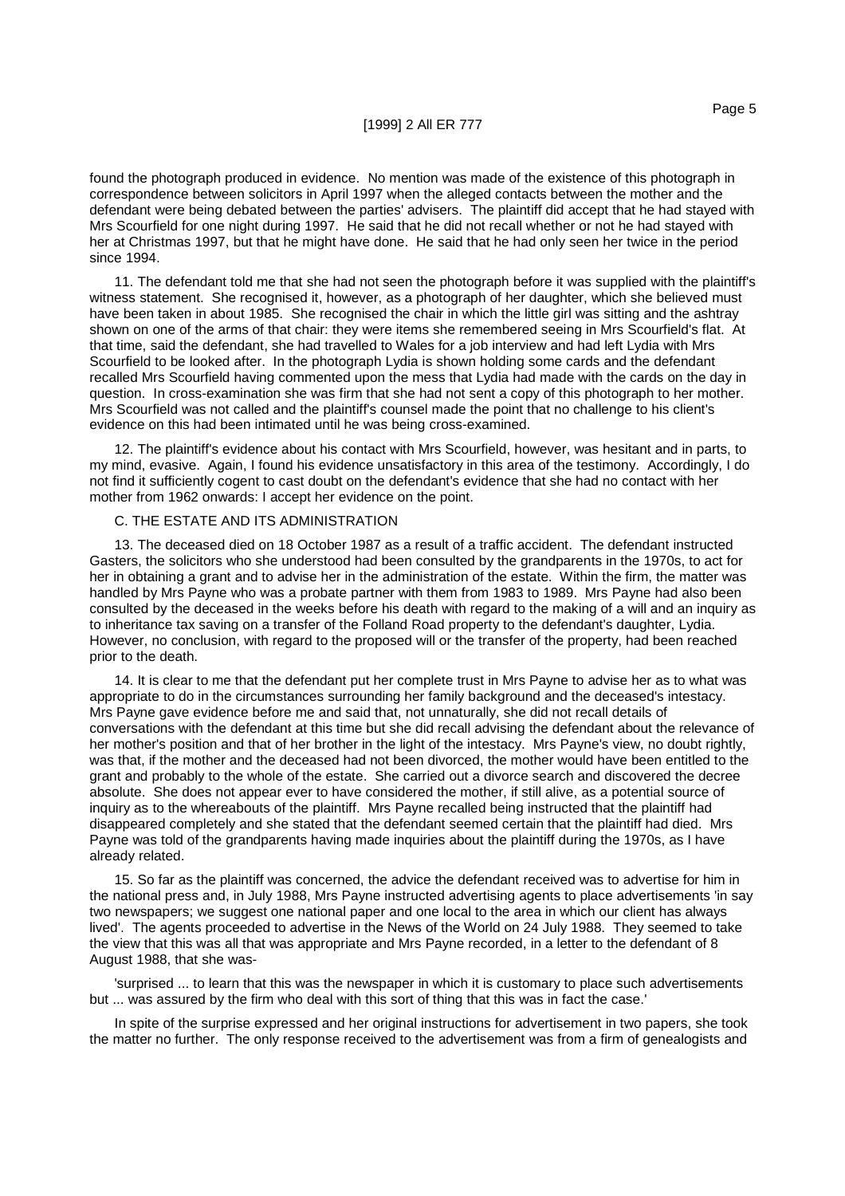found the photograph produced in evidence. No mention was made of the existence of this photograph in correspondence between solicitors in April 1997 when the alleged contacts between the mother and the defendant were being debated between the parties' advisers. The plaintiff did accept that he had stayed with Mrs Scourfield for one night during 1997. He said that he did not recall whether or not he had stayed with her at Christmas 1997, but that he might have done. He said that he had only seen her twice in the period since 1994.

11. The defendant told me that she had not seen the photograph before it was supplied with the plaintiff's witness statement. She recognised it, however, as a photograph of her daughter, which she believed must have been taken in about 1985. She recognised the chair in which the little girl was sitting and the ashtray shown on one of the arms of that chair: they were items she remembered seeing in Mrs Scourfield's flat. At that time, said the defendant, she had travelled to Wales for a job interview and had left Lydia with Mrs Scourfield to be looked after. In the photograph Lydia is shown holding some cards and the defendant recalled Mrs Scourfield having commented upon the mess that Lydia had made with the cards on the day in question. In cross-examination she was firm that she had not sent a copy of this photograph to her mother. Mrs Scourfield was not called and the plaintiff's counsel made the point that no challenge to his client's evidence on this had been intimated until he was being cross-examined.

12. The plaintiff's evidence about his contact with Mrs Scourfield, however, was hesitant and in parts, to my mind, evasive. Again, I found his evidence unsatisfactory in this area of the testimony. Accordingly, I do not find it sufficiently cogent to cast doubt on the defendant's evidence that she had no contact with her mother from 1962 onwards: I accept her evidence on the point.

# C. THE ESTATE AND ITS ADMINISTRATION

13. The deceased died on 18 October 1987 as a result of a traffic accident. The defendant instructed Gasters, the solicitors who she understood had been consulted by the grandparents in the 1970s, to act for her in obtaining a grant and to advise her in the administration of the estate. Within the firm, the matter was handled by Mrs Payne who was a probate partner with them from 1983 to 1989. Mrs Payne had also been consulted by the deceased in the weeks before his death with regard to the making of a will and an inquiry as to inheritance tax saving on a transfer of the Folland Road property to the defendant's daughter, Lydia. However, no conclusion, with regard to the proposed will or the transfer of the property, had been reached prior to the death.

14. It is clear to me that the defendant put her complete trust in Mrs Payne to advise her as to what was appropriate to do in the circumstances surrounding her family background and the deceased's intestacy. Mrs Payne gave evidence before me and said that, not unnaturally, she did not recall details of conversations with the defendant at this time but she did recall advising the defendant about the relevance of her mother's position and that of her brother in the light of the intestacy. Mrs Payne's view, no doubt rightly, was that, if the mother and the deceased had not been divorced, the mother would have been entitled to the grant and probably to the whole of the estate. She carried out a divorce search and discovered the decree absolute. She does not appear ever to have considered the mother, if still alive, as a potential source of inquiry as to the whereabouts of the plaintiff. Mrs Payne recalled being instructed that the plaintiff had disappeared completely and she stated that the defendant seemed certain that the plaintiff had died. Mrs Payne was told of the grandparents having made inquiries about the plaintiff during the 1970s, as I have already related.

15. So far as the plaintiff was concerned, the advice the defendant received was to advertise for him in the national press and, in July 1988, Mrs Payne instructed advertising agents to place advertisements 'in say two newspapers; we suggest one national paper and one local to the area in which our client has always lived'. The agents proceeded to advertise in the News of the World on 24 July 1988. They seemed to take the view that this was all that was appropriate and Mrs Payne recorded, in a letter to the defendant of 8 August 1988, that she was-

'surprised ... to learn that this was the newspaper in which it is customary to place such advertisements but ... was assured by the firm who deal with this sort of thing that this was in fact the case.'

In spite of the surprise expressed and her original instructions for advertisement in two papers, she took the matter no further. The only response received to the advertisement was from a firm of genealogists and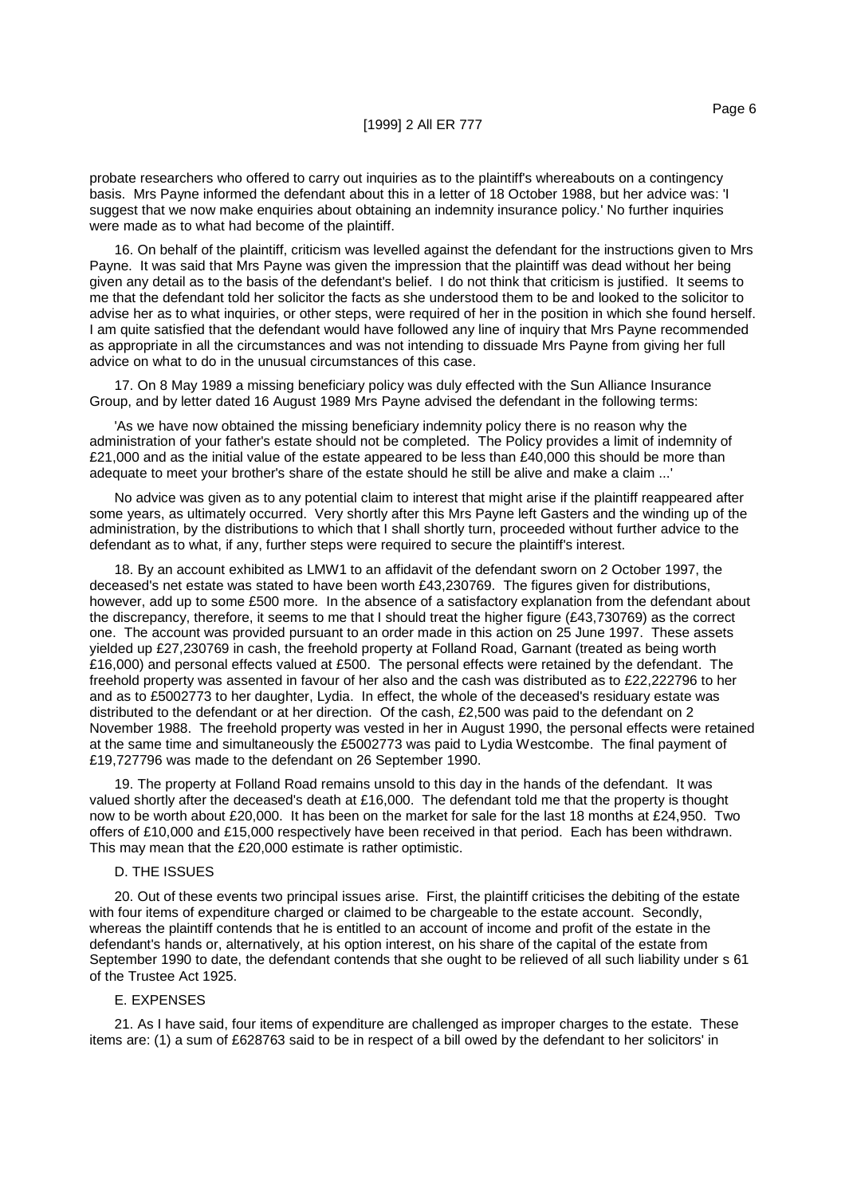probate researchers who offered to carry out inquiries as to the plaintiff's whereabouts on a contingency basis. Mrs Payne informed the defendant about this in a letter of 18 October 1988, but her advice was: 'I suggest that we now make enquiries about obtaining an indemnity insurance policy.' No further inquiries were made as to what had become of the plaintiff.

16. On behalf of the plaintiff, criticism was levelled against the defendant for the instructions given to Mrs Payne. It was said that Mrs Payne was given the impression that the plaintiff was dead without her being given any detail as to the basis of the defendant's belief. I do not think that criticism is justified. It seems to me that the defendant told her solicitor the facts as she understood them to be and looked to the solicitor to advise her as to what inquiries, or other steps, were required of her in the position in which she found herself. I am quite satisfied that the defendant would have followed any line of inquiry that Mrs Payne recommended as appropriate in all the circumstances and was not intending to dissuade Mrs Payne from giving her full advice on what to do in the unusual circumstances of this case.

17. On 8 May 1989 a missing beneficiary policy was duly effected with the Sun Alliance Insurance Group, and by letter dated 16 August 1989 Mrs Payne advised the defendant in the following terms:

'As we have now obtained the missing beneficiary indemnity policy there is no reason why the administration of your father's estate should not be completed. The Policy provides a limit of indemnity of £21,000 and as the initial value of the estate appeared to be less than £40,000 this should be more than adequate to meet your brother's share of the estate should he still be alive and make a claim ...'

No advice was given as to any potential claim to interest that might arise if the plaintiff reappeared after some years, as ultimately occurred. Very shortly after this Mrs Payne left Gasters and the winding up of the administration, by the distributions to which that I shall shortly turn, proceeded without further advice to the defendant as to what, if any, further steps were required to secure the plaintiff's interest.

18. By an account exhibited as LMW1 to an affidavit of the defendant sworn on 2 October 1997, the deceased's net estate was stated to have been worth £43,230769. The figures given for distributions, however, add up to some £500 more. In the absence of a satisfactory explanation from the defendant about the discrepancy, therefore, it seems to me that I should treat the higher figure (£43,730769) as the correct one. The account was provided pursuant to an order made in this action on 25 June 1997. These assets yielded up £27,230769 in cash, the freehold property at Folland Road, Garnant (treated as being worth £16,000) and personal effects valued at £500. The personal effects were retained by the defendant. The freehold property was assented in favour of her also and the cash was distributed as to £22,222796 to her and as to £5002773 to her daughter, Lydia. In effect, the whole of the deceased's residuary estate was distributed to the defendant or at her direction. Of the cash, £2,500 was paid to the defendant on 2 November 1988. The freehold property was vested in her in August 1990, the personal effects were retained at the same time and simultaneously the £5002773 was paid to Lydia Westcombe. The final payment of £19,727796 was made to the defendant on 26 September 1990.

19. The property at Folland Road remains unsold to this day in the hands of the defendant. It was valued shortly after the deceased's death at £16,000. The defendant told me that the property is thought now to be worth about £20,000. It has been on the market for sale for the last 18 months at £24,950. Two offers of £10,000 and £15,000 respectively have been received in that period. Each has been withdrawn. This may mean that the £20,000 estimate is rather optimistic.

#### D. THE ISSUES

20. Out of these events two principal issues arise. First, the plaintiff criticises the debiting of the estate with four items of expenditure charged or claimed to be chargeable to the estate account. Secondly, whereas the plaintiff contends that he is entitled to an account of income and profit of the estate in the defendant's hands or, alternatively, at his option interest, on his share of the capital of the estate from September 1990 to date, the defendant contends that she ought to be relieved of all such liability under s 61 of the Trustee Act 1925.

# E. EXPENSES

21. As I have said, four items of expenditure are challenged as improper charges to the estate. These items are: (1) a sum of £628763 said to be in respect of a bill owed by the defendant to her solicitors' in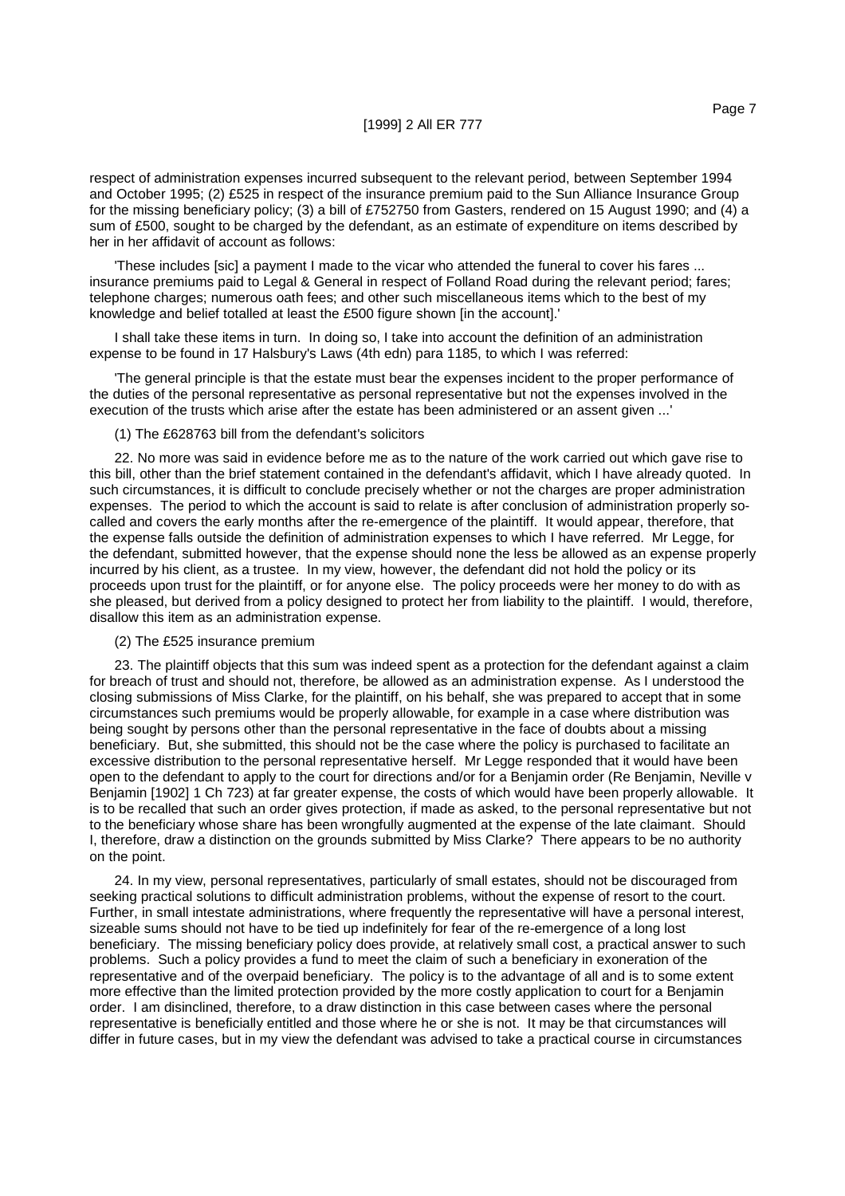respect of administration expenses incurred subsequent to the relevant period, between September 1994 and October 1995; (2) £525 in respect of the insurance premium paid to the Sun Alliance Insurance Group for the missing beneficiary policy; (3) a bill of £752750 from Gasters, rendered on 15 August 1990; and (4) a sum of £500, sought to be charged by the defendant, as an estimate of expenditure on items described by her in her affidavit of account as follows:

'These includes [sic] a payment I made to the vicar who attended the funeral to cover his fares ... insurance premiums paid to Legal & General in respect of Folland Road during the relevant period; fares; telephone charges; numerous oath fees; and other such miscellaneous items which to the best of my knowledge and belief totalled at least the £500 figure shown [in the account].'

I shall take these items in turn. In doing so, I take into account the definition of an administration expense to be found in 17 Halsbury's Laws (4th edn) para 1185, to which I was referred:

'The general principle is that the estate must bear the expenses incident to the proper performance of the duties of the personal representative as personal representative but not the expenses involved in the execution of the trusts which arise after the estate has been administered or an assent given ...'

(1) The £628763 bill from the defendant's solicitors

22. No more was said in evidence before me as to the nature of the work carried out which gave rise to this bill, other than the brief statement contained in the defendant's affidavit, which I have already quoted. In such circumstances, it is difficult to conclude precisely whether or not the charges are proper administration expenses. The period to which the account is said to relate is after conclusion of administration properly socalled and covers the early months after the re-emergence of the plaintiff. It would appear, therefore, that the expense falls outside the definition of administration expenses to which I have referred. Mr Legge, for the defendant, submitted however, that the expense should none the less be allowed as an expense properly incurred by his client, as a trustee. In my view, however, the defendant did not hold the policy or its proceeds upon trust for the plaintiff, or for anyone else. The policy proceeds were her money to do with as she pleased, but derived from a policy designed to protect her from liability to the plaintiff. I would, therefore, disallow this item as an administration expense.

(2) The £525 insurance premium

23. The plaintiff objects that this sum was indeed spent as a protection for the defendant against a claim for breach of trust and should not, therefore, be allowed as an administration expense. As I understood the closing submissions of Miss Clarke, for the plaintiff, on his behalf, she was prepared to accept that in some circumstances such premiums would be properly allowable, for example in a case where distribution was being sought by persons other than the personal representative in the face of doubts about a missing beneficiary. But, she submitted, this should not be the case where the policy is purchased to facilitate an excessive distribution to the personal representative herself. Mr Legge responded that it would have been open to the defendant to apply to the court for directions and/or for a Benjamin order (Re Benjamin, Neville v Benjamin [1902] 1 Ch 723) at far greater expense, the costs of which would have been properly allowable. It is to be recalled that such an order gives protection, if made as asked, to the personal representative but not to the beneficiary whose share has been wrongfully augmented at the expense of the late claimant. Should I, therefore, draw a distinction on the grounds submitted by Miss Clarke? There appears to be no authority on the point.

24. In my view, personal representatives, particularly of small estates, should not be discouraged from seeking practical solutions to difficult administration problems, without the expense of resort to the court. Further, in small intestate administrations, where frequently the representative will have a personal interest, sizeable sums should not have to be tied up indefinitely for fear of the re-emergence of a long lost beneficiary. The missing beneficiary policy does provide, at relatively small cost, a practical answer to such problems. Such a policy provides a fund to meet the claim of such a beneficiary in exoneration of the representative and of the overpaid beneficiary. The policy is to the advantage of all and is to some extent more effective than the limited protection provided by the more costly application to court for a Benjamin order. I am disinclined, therefore, to a draw distinction in this case between cases where the personal representative is beneficially entitled and those where he or she is not. It may be that circumstances will differ in future cases, but in my view the defendant was advised to take a practical course in circumstances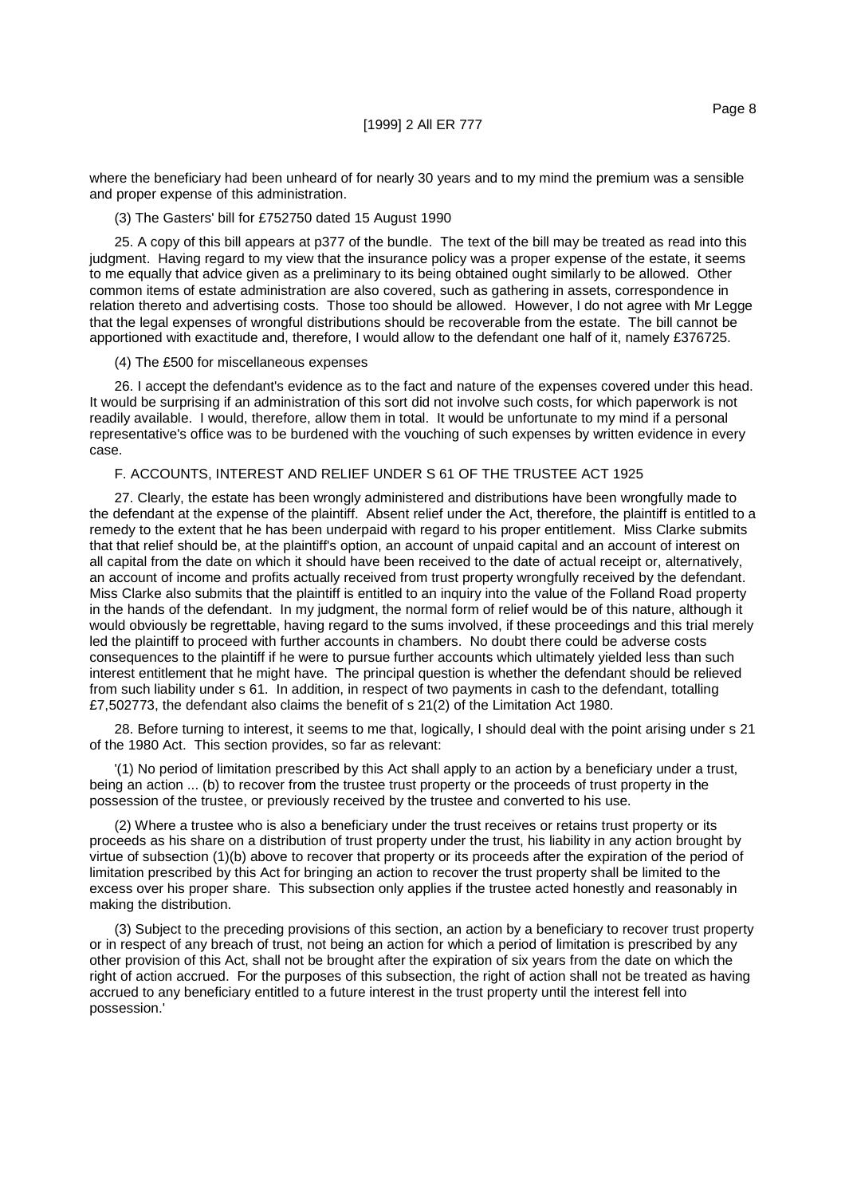where the beneficiary had been unheard of for nearly 30 years and to my mind the premium was a sensible and proper expense of this administration.

#### (3) The Gasters' bill for £752750 dated 15 August 1990

25. A copy of this bill appears at p377 of the bundle. The text of the bill may be treated as read into this judgment. Having regard to my view that the insurance policy was a proper expense of the estate, it seems to me equally that advice given as a preliminary to its being obtained ought similarly to be allowed. Other common items of estate administration are also covered, such as gathering in assets, correspondence in relation thereto and advertising costs. Those too should be allowed. However, I do not agree with Mr Legge that the legal expenses of wrongful distributions should be recoverable from the estate. The bill cannot be apportioned with exactitude and, therefore, I would allow to the defendant one half of it, namely £376725.

#### (4) The £500 for miscellaneous expenses

26. I accept the defendant's evidence as to the fact and nature of the expenses covered under this head. It would be surprising if an administration of this sort did not involve such costs, for which paperwork is not readily available. I would, therefore, allow them in total. It would be unfortunate to my mind if a personal representative's office was to be burdened with the vouching of such expenses by written evidence in every case.

# F. ACCOUNTS, INTEREST AND RELIEF UNDER S 61 OF THE TRUSTEE ACT 1925

27. Clearly, the estate has been wrongly administered and distributions have been wrongfully made to the defendant at the expense of the plaintiff. Absent relief under the Act, therefore, the plaintiff is entitled to a remedy to the extent that he has been underpaid with regard to his proper entitlement. Miss Clarke submits that that relief should be, at the plaintiff's option, an account of unpaid capital and an account of interest on all capital from the date on which it should have been received to the date of actual receipt or, alternatively, an account of income and profits actually received from trust property wrongfully received by the defendant. Miss Clarke also submits that the plaintiff is entitled to an inquiry into the value of the Folland Road property in the hands of the defendant. In my judgment, the normal form of relief would be of this nature, although it would obviously be regrettable, having regard to the sums involved, if these proceedings and this trial merely led the plaintiff to proceed with further accounts in chambers. No doubt there could be adverse costs consequences to the plaintiff if he were to pursue further accounts which ultimately yielded less than such interest entitlement that he might have. The principal question is whether the defendant should be relieved from such liability under s 61. In addition, in respect of two payments in cash to the defendant, totalling £7,502773, the defendant also claims the benefit of s 21(2) of the Limitation Act 1980.

28. Before turning to interest, it seems to me that, logically, I should deal with the point arising under s 21 of the 1980 Act. This section provides, so far as relevant:

'(1) No period of limitation prescribed by this Act shall apply to an action by a beneficiary under a trust, being an action ... (b) to recover from the trustee trust property or the proceeds of trust property in the possession of the trustee, or previously received by the trustee and converted to his use.

(2) Where a trustee who is also a beneficiary under the trust receives or retains trust property or its proceeds as his share on a distribution of trust property under the trust, his liability in any action brought by virtue of subsection (1)(b) above to recover that property or its proceeds after the expiration of the period of limitation prescribed by this Act for bringing an action to recover the trust property shall be limited to the excess over his proper share. This subsection only applies if the trustee acted honestly and reasonably in making the distribution.

(3) Subject to the preceding provisions of this section, an action by a beneficiary to recover trust property or in respect of any breach of trust, not being an action for which a period of limitation is prescribed by any other provision of this Act, shall not be brought after the expiration of six years from the date on which the right of action accrued. For the purposes of this subsection, the right of action shall not be treated as having accrued to any beneficiary entitled to a future interest in the trust property until the interest fell into possession.'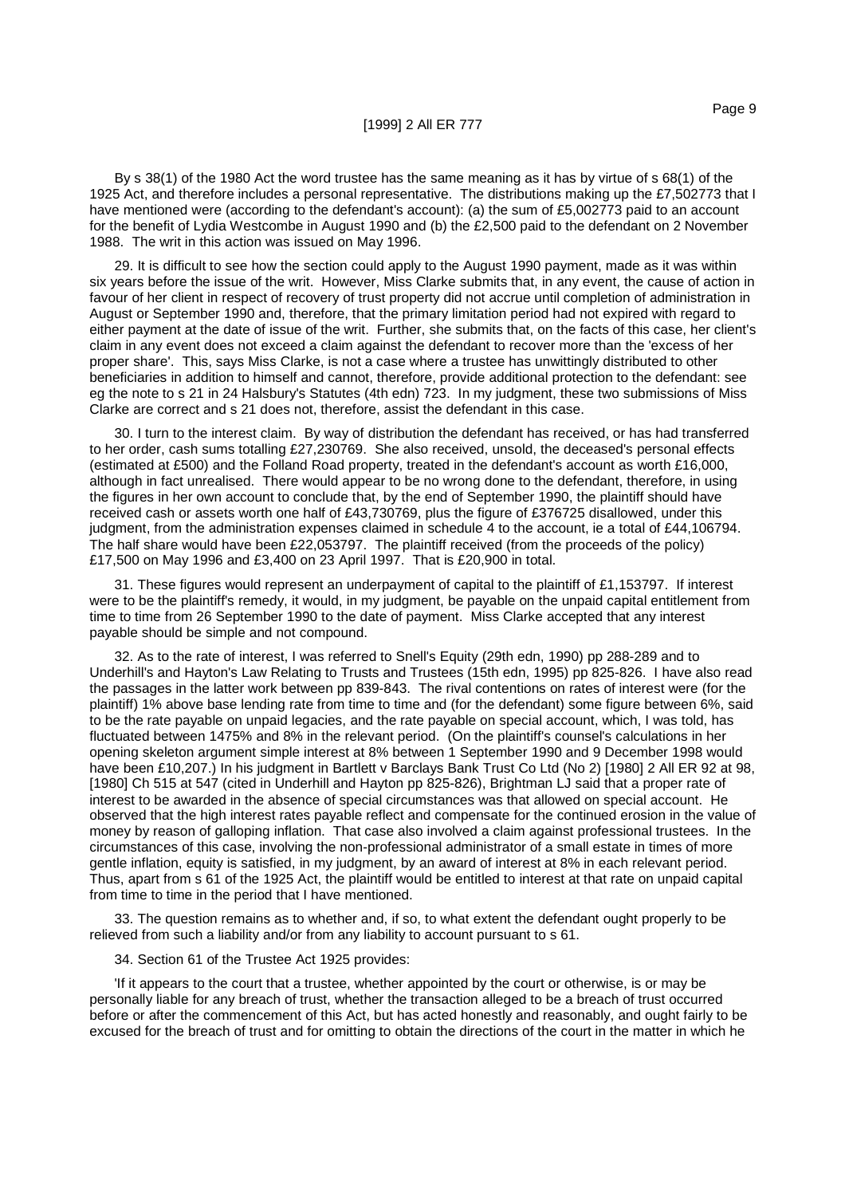By s 38(1) of the 1980 Act the word trustee has the same meaning as it has by virtue of s 68(1) of the 1925 Act, and therefore includes a personal representative. The distributions making up the £7,502773 that I have mentioned were (according to the defendant's account): (a) the sum of £5,002773 paid to an account for the benefit of Lydia Westcombe in August 1990 and (b) the £2,500 paid to the defendant on 2 November 1988. The writ in this action was issued on May 1996.

29. It is difficult to see how the section could apply to the August 1990 payment, made as it was within six years before the issue of the writ. However, Miss Clarke submits that, in any event, the cause of action in favour of her client in respect of recovery of trust property did not accrue until completion of administration in August or September 1990 and, therefore, that the primary limitation period had not expired with regard to either payment at the date of issue of the writ. Further, she submits that, on the facts of this case, her client's claim in any event does not exceed a claim against the defendant to recover more than the 'excess of her proper share'. This, says Miss Clarke, is not a case where a trustee has unwittingly distributed to other beneficiaries in addition to himself and cannot, therefore, provide additional protection to the defendant: see eg the note to s 21 in 24 Halsbury's Statutes (4th edn) 723. In my judgment, these two submissions of Miss Clarke are correct and s 21 does not, therefore, assist the defendant in this case.

30. I turn to the interest claim. By way of distribution the defendant has received, or has had transferred to her order, cash sums totalling £27,230769. She also received, unsold, the deceased's personal effects (estimated at £500) and the Folland Road property, treated in the defendant's account as worth £16,000, although in fact unrealised. There would appear to be no wrong done to the defendant, therefore, in using the figures in her own account to conclude that, by the end of September 1990, the plaintiff should have received cash or assets worth one half of £43,730769, plus the figure of £376725 disallowed, under this judgment, from the administration expenses claimed in schedule 4 to the account, ie a total of £44,106794. The half share would have been £22,053797. The plaintiff received (from the proceeds of the policy) £17,500 on May 1996 and £3,400 on 23 April 1997. That is £20,900 in total.

31. These figures would represent an underpayment of capital to the plaintiff of £1,153797. If interest were to be the plaintiff's remedy, it would, in my judgment, be payable on the unpaid capital entitlement from time to time from 26 September 1990 to the date of payment. Miss Clarke accepted that any interest payable should be simple and not compound.

32. As to the rate of interest, I was referred to Snell's Equity (29th edn, 1990) pp 288-289 and to Underhill's and Hayton's Law Relating to Trusts and Trustees (15th edn, 1995) pp 825-826. I have also read the passages in the latter work between pp 839-843. The rival contentions on rates of interest were (for the plaintiff) 1% above base lending rate from time to time and (for the defendant) some figure between 6%, said to be the rate payable on unpaid legacies, and the rate payable on special account, which, I was told, has fluctuated between 1475% and 8% in the relevant period. (On the plaintiff's counsel's calculations in her opening skeleton argument simple interest at 8% between 1 September 1990 and 9 December 1998 would have been £10,207.) In his judgment in Bartlett v Barclays Bank Trust Co Ltd (No 2) [1980] 2 All ER 92 at 98, [1980] Ch 515 at 547 (cited in Underhill and Hayton pp 825-826), Brightman LJ said that a proper rate of interest to be awarded in the absence of special circumstances was that allowed on special account. He observed that the high interest rates payable reflect and compensate for the continued erosion in the value of money by reason of galloping inflation. That case also involved a claim against professional trustees. In the circumstances of this case, involving the non-professional administrator of a small estate in times of more gentle inflation, equity is satisfied, in my judgment, by an award of interest at 8% in each relevant period. Thus, apart from s 61 of the 1925 Act, the plaintiff would be entitled to interest at that rate on unpaid capital from time to time in the period that I have mentioned.

33. The question remains as to whether and, if so, to what extent the defendant ought properly to be relieved from such a liability and/or from any liability to account pursuant to s 61.

34. Section 61 of the Trustee Act 1925 provides:

'If it appears to the court that a trustee, whether appointed by the court or otherwise, is or may be personally liable for any breach of trust, whether the transaction alleged to be a breach of trust occurred before or after the commencement of this Act, but has acted honestly and reasonably, and ought fairly to be excused for the breach of trust and for omitting to obtain the directions of the court in the matter in which he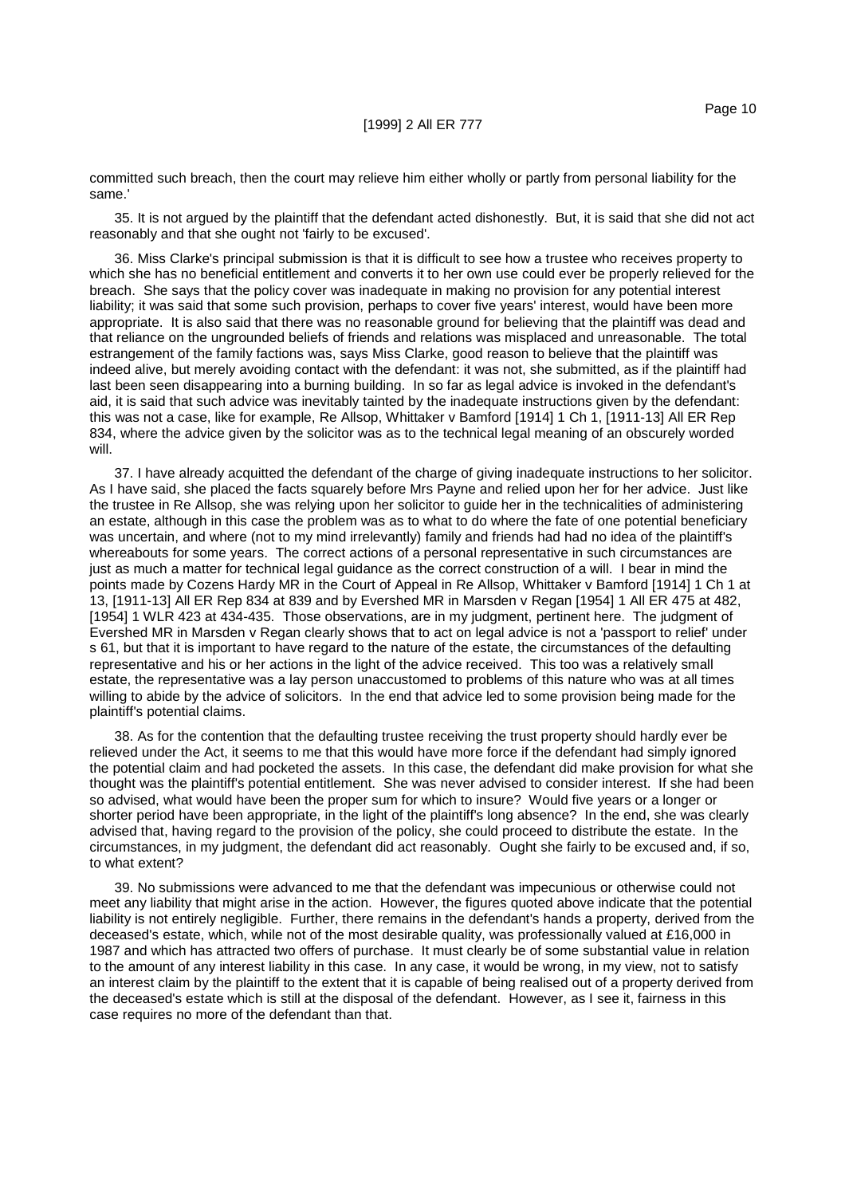committed such breach, then the court may relieve him either wholly or partly from personal liability for the same.'

35. It is not argued by the plaintiff that the defendant acted dishonestly. But, it is said that she did not act reasonably and that she ought not 'fairly to be excused'.

36. Miss Clarke's principal submission is that it is difficult to see how a trustee who receives property to which she has no beneficial entitlement and converts it to her own use could ever be properly relieved for the breach. She says that the policy cover was inadequate in making no provision for any potential interest liability; it was said that some such provision, perhaps to cover five years' interest, would have been more appropriate. It is also said that there was no reasonable ground for believing that the plaintiff was dead and that reliance on the ungrounded beliefs of friends and relations was misplaced and unreasonable. The total estrangement of the family factions was, says Miss Clarke, good reason to believe that the plaintiff was indeed alive, but merely avoiding contact with the defendant: it was not, she submitted, as if the plaintiff had last been seen disappearing into a burning building. In so far as legal advice is invoked in the defendant's aid, it is said that such advice was inevitably tainted by the inadequate instructions given by the defendant: this was not a case, like for example, Re Allsop, Whittaker v Bamford [1914] 1 Ch 1, [1911-13] All ER Rep 834, where the advice given by the solicitor was as to the technical legal meaning of an obscurely worded will.

37. I have already acquitted the defendant of the charge of giving inadequate instructions to her solicitor. As I have said, she placed the facts squarely before Mrs Payne and relied upon her for her advice. Just like the trustee in Re Allsop, she was relying upon her solicitor to guide her in the technicalities of administering an estate, although in this case the problem was as to what to do where the fate of one potential beneficiary was uncertain, and where (not to my mind irrelevantly) family and friends had had no idea of the plaintiff's whereabouts for some years. The correct actions of a personal representative in such circumstances are just as much a matter for technical legal guidance as the correct construction of a will. I bear in mind the points made by Cozens Hardy MR in the Court of Appeal in Re Allsop, Whittaker v Bamford [1914] 1 Ch 1 at 13, [1911-13] All ER Rep 834 at 839 and by Evershed MR in Marsden v Regan [1954] 1 All ER 475 at 482, [1954] 1 WLR 423 at 434-435. Those observations, are in my judgment, pertinent here. The judgment of Evershed MR in Marsden v Regan clearly shows that to act on legal advice is not a 'passport to relief' under s 61, but that it is important to have regard to the nature of the estate, the circumstances of the defaulting representative and his or her actions in the light of the advice received. This too was a relatively small estate, the representative was a lay person unaccustomed to problems of this nature who was at all times willing to abide by the advice of solicitors. In the end that advice led to some provision being made for the plaintiff's potential claims.

38. As for the contention that the defaulting trustee receiving the trust property should hardly ever be relieved under the Act, it seems to me that this would have more force if the defendant had simply ignored the potential claim and had pocketed the assets. In this case, the defendant did make provision for what she thought was the plaintiff's potential entitlement. She was never advised to consider interest. If she had been so advised, what would have been the proper sum for which to insure? Would five years or a longer or shorter period have been appropriate, in the light of the plaintiff's long absence? In the end, she was clearly advised that, having regard to the provision of the policy, she could proceed to distribute the estate. In the circumstances, in my judgment, the defendant did act reasonably. Ought she fairly to be excused and, if so, to what extent?

39. No submissions were advanced to me that the defendant was impecunious or otherwise could not meet any liability that might arise in the action. However, the figures quoted above indicate that the potential liability is not entirely negligible. Further, there remains in the defendant's hands a property, derived from the deceased's estate, which, while not of the most desirable quality, was professionally valued at £16,000 in 1987 and which has attracted two offers of purchase. It must clearly be of some substantial value in relation to the amount of any interest liability in this case. In any case, it would be wrong, in my view, not to satisfy an interest claim by the plaintiff to the extent that it is capable of being realised out of a property derived from the deceased's estate which is still at the disposal of the defendant. However, as I see it, fairness in this case requires no more of the defendant than that.